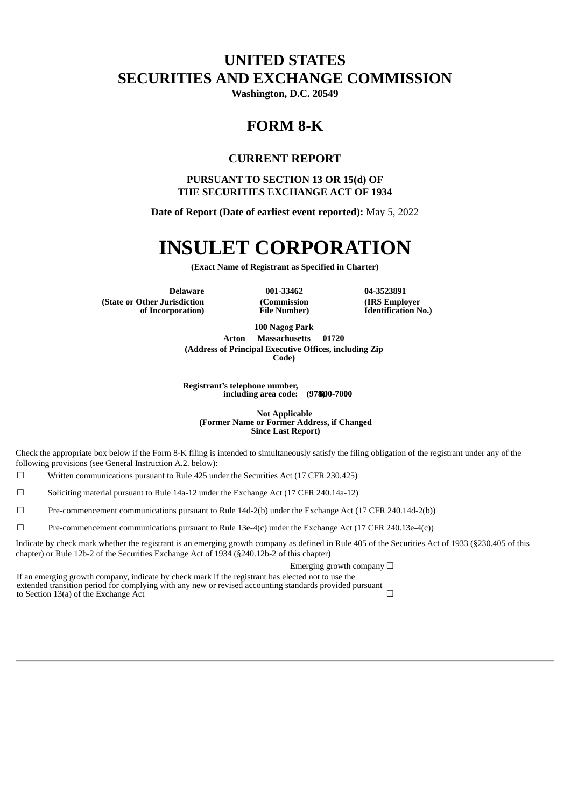# **UNITED STATES SECURITIES AND EXCHANGE COMMISSION**

**Washington, D.C. 20549**

# **FORM 8-K**

# **CURRENT REPORT**

#### **PURSUANT TO SECTION 13 OR 15(d) OF THE SECURITIES EXCHANGE ACT OF 1934**

**Date of Report (Date of earliest event reported):** May 5, 2022

# **INSULET CORPORATION**

**(Exact Name of Registrant as Specified in Charter)**

**(State or Other Jurisdiction of Incorporation)**

**Delaware 001-33462 04-3523891 (Commission File Number)**

**(IRS Employer Identification No.)**

**100 Nagog Park Acton Massachusetts 01720 (Address of Principal Executive Offices, including Zip Code)**

**Registrant's telephone number, including area code:** (978)0-7000

**Not Applicable (Former Name or Former Address, if Changed Since Last Report)**

Check the appropriate box below if the Form 8-K filing is intended to simultaneously satisfy the filing obligation of the registrant under any of the following provisions (see General Instruction A.2. below):

☐ Written communications pursuant to Rule 425 under the Securities Act (17 CFR 230.425)

☐ Soliciting material pursuant to Rule 14a-12 under the Exchange Act (17 CFR 240.14a-12)

☐ Pre-commencement communications pursuant to Rule 14d-2(b) under the Exchange Act (17 CFR 240.14d-2(b))

☐ Pre-commencement communications pursuant to Rule 13e-4(c) under the Exchange Act (17 CFR 240.13e-4(c))

Indicate by check mark whether the registrant is an emerging growth company as defined in Rule 405 of the Securities Act of 1933 (§230.405 of this chapter) or Rule 12b-2 of the Securities Exchange Act of 1934 (§240.12b-2 of this chapter)

Emerging growth company  $\Box$ 

If an emerging growth company, indicate by check mark if the registrant has elected not to use the extended transition period for complying with any new or revised accounting standards provided pursuant to Section 13(a) of the Exchange Act<br>□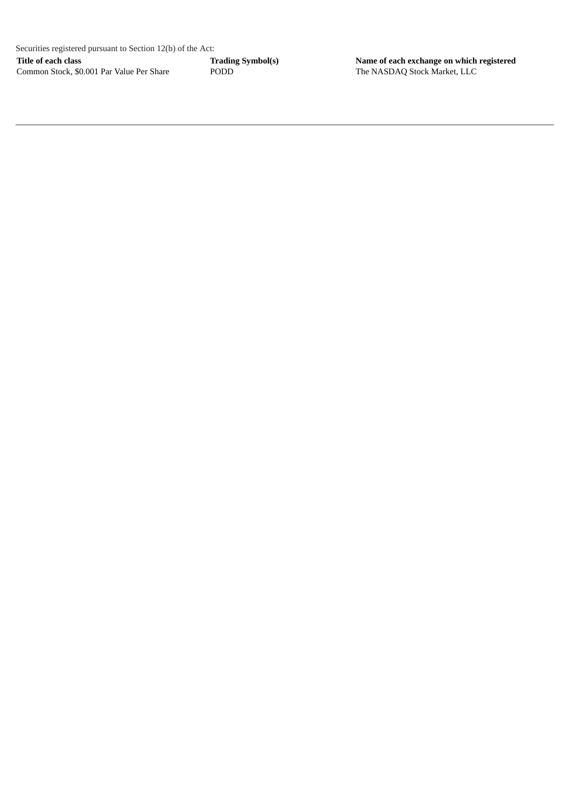| Title of each class                       |  |
|-------------------------------------------|--|
| Common Stock, \$0.001 Par Value Per Share |  |

**Trading Symbol(s) Name of each exchange on which registered**<br>PODD **The NASDAQ Stock Market, LLC** The NASDAQ Stock Market, LLC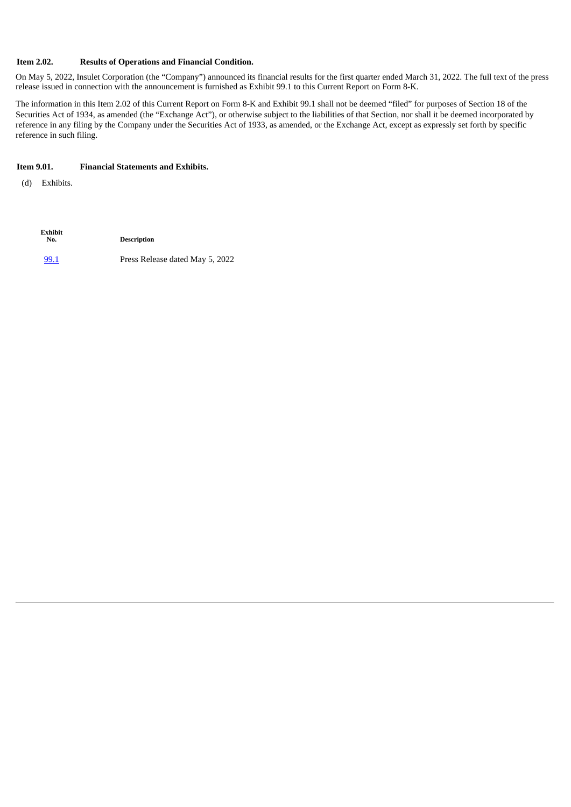#### **Item 2.02. Results of Operations and Financial Condition.**

On May 5, 2022, Insulet Corporation (the "Company") announced its financial results for the first quarter ended March 31, 2022. The full text of the press release issued in connection with the announcement is furnished as Exhibit 99.1 to this Current Report on Form 8-K.

The information in this Item 2.02 of this Current Report on Form 8-K and Exhibit 99.1 shall not be deemed "filed" for purposes of Section 18 of the Securities Act of 1934, as amended (the "Exchange Act"), or otherwise subject to the liabilities of that Section, nor shall it be deemed incorporated by reference in any filing by the Company under the Securities Act of 1933, as amended, or the Exchange Act, except as expressly set forth by specific reference in such filing.

#### **Item 9.01. Financial Statements and Exhibits.**

(d) Exhibits.

| Exhibit<br>No. | <b>Description</b>              |
|----------------|---------------------------------|
| 99.1           | Press Release dated May 5, 2022 |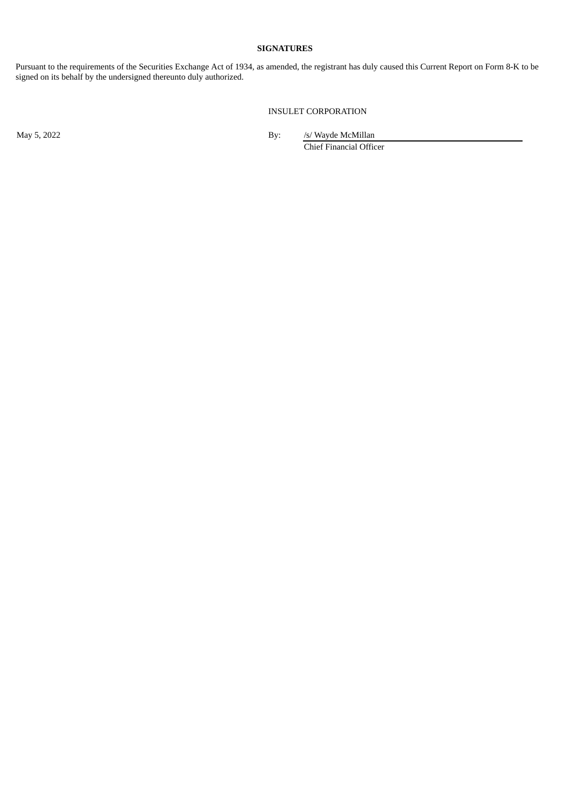#### **SIGNATURES**

Pursuant to the requirements of the Securities Exchange Act of 1934, as amended, the registrant has duly caused this Current Report on Form 8-K to be signed on its behalf by the undersigned thereunto duly authorized.

#### INSULET CORPORATION

May 5, 2022 By: /s/ Wayde McMillan

Chief Financial Officer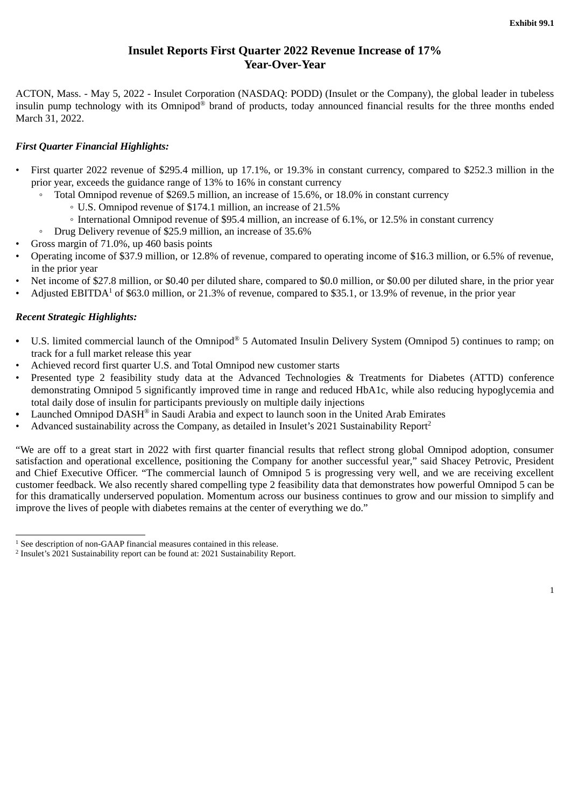# **Insulet Reports First Quarter 2022 Revenue Increase of 17% Year-Over-Year**

<span id="page-4-0"></span>ACTON, Mass. - May 5, 2022 - Insulet Corporation (NASDAQ: PODD) (Insulet or the Company), the global leader in tubeless insulin pump technology with its Omnipod® brand of products, today announced financial results for the three months ended March 31, 2022.

# *First Quarter Financial Highlights:*

- First quarter 2022 revenue of \$295.4 million, up 17.1%, or 19.3% in constant currency, compared to \$252.3 million in the prior year, exceeds the guidance range of 13% to 16% in constant currency
	- Total Omnipod revenue of \$269.5 million, an increase of 15.6%, or 18.0% in constant currency
		- U.S. Omnipod revenue of \$174.1 million, an increase of 21.5%
		- International Omnipod revenue of \$95.4 million, an increase of 6.1%, or 12.5% in constant currency
	- Drug Delivery revenue of \$25.9 million, an increase of 35.6%
- Gross margin of 71.0%, up 460 basis points
- Operating income of \$37.9 million, or 12.8% of revenue, compared to operating income of \$16.3 million, or 6.5% of revenue, in the prior year
- Net income of \$27.8 million, or \$0.40 per diluted share, compared to \$0.0 million, or \$0.00 per diluted share, in the prior year
- Adjusted EBITDA<sup>1</sup> of \$63.0 million, or 21.3% of revenue, compared to \$35.1, or 13.9% of revenue, in the prior year

# *Recent Strategic Highlights:*

- U.S. limited commercial launch of the Omnipod® 5 Automated Insulin Delivery System (Omnipod 5) continues to ramp; on track for a full market release this year
- Achieved record first quarter U.S. and Total Omnipod new customer starts
- Presented type 2 feasibility study data at the Advanced Technologies & Treatments for Diabetes (ATTD) conference demonstrating Omnipod 5 significantly improved time in range and reduced HbA1c, while also reducing hypoglycemia and total daily dose of insulin for participants previously on multiple daily injections
- Launched Omnipod  $DASH^{\circledast}$  in Saudi Arabia and expect to launch soon in the United Arab Emirates
- Advanced sustainability across the Company, as detailed in Insulet's 2021 Sustainability Report<sup>2</sup>

"We are off to a great start in 2022 with first quarter financial results that reflect strong global Omnipod adoption, consumer satisfaction and operational excellence, positioning the Company for another successful year," said Shacey Petrovic, President and Chief Executive Officer. "The commercial launch of Omnipod 5 is progressing very well, and we are receiving excellent customer feedback. We also recently shared compelling type 2 feasibility data that demonstrates how powerful Omnipod 5 can be for this dramatically underserved population. Momentum across our business continues to grow and our mission to simplify and improve the lives of people with diabetes remains at the center of everything we do."

<sup>&</sup>lt;sup>1</sup> See description of non-GAAP financial measures contained in this release.

<sup>&</sup>lt;sup>2</sup> Insulet's 2021 Sustainability report can be found at: 2021 Sustainability Report.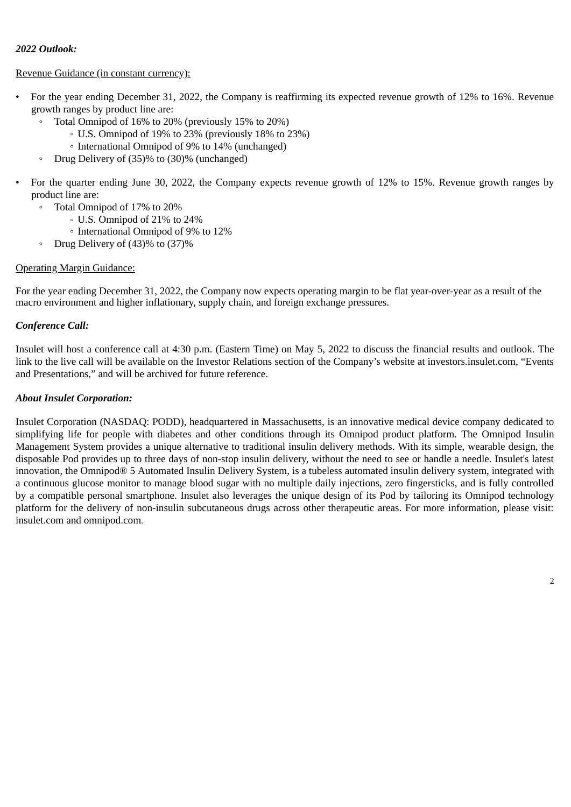#### *2022 Outlook:*

#### Revenue Guidance (in constant currency):

- For the year ending December 31, 2022, the Company is reaffirming its expected revenue growth of 12% to 16%. Revenue growth ranges by product line are:
	- Total Omnipod of 16% to 20% (previously 15% to 20%)
		- U.S. Omnipod of 19% to 23% (previously 18% to 23%)
		- International Omnipod of 9% to 14% (unchanged)
		- Drug Delivery of (35)% to (30)% (unchanged)
- For the quarter ending June 30, 2022, the Company expects revenue growth of 12% to 15%. Revenue growth ranges by product line are:
	- Total Omnipod of 17% to 20%
		- U.S. Omnipod of 21% to 24%
		- International Omnipod of 9% to 12%
	- Drug Delivery of (43)% to (37)%

#### Operating Margin Guidance:

For the year ending December 31, 2022, the Company now expects operating margin to be flat year-over-year as a result of the macro environment and higher inflationary, supply chain, and foreign exchange pressures.

#### *Conference Call:*

Insulet will host a conference call at 4:30 p.m. (Eastern Time) on May 5, 2022 to discuss the financial results and outlook. The link to the live call will be available on the Investor Relations section of the Company's website at investors.insulet.com, "Events and Presentations," and will be archived for future reference.

#### *About Insulet Corporation:*

Insulet Corporation (NASDAQ: PODD), headquartered in Massachusetts, is an innovative medical device company dedicated to simplifying life for people with diabetes and other conditions through its Omnipod product platform. The Omnipod Insulin Management System provides a unique alternative to traditional insulin delivery methods. With its simple, wearable design, the disposable Pod provides up to three days of non-stop insulin delivery, without the need to see or handle a needle. Insulet's latest innovation, the Omnipod® 5 Automated Insulin Delivery System, is a tubeless automated insulin delivery system, integrated with a continuous glucose monitor to manage blood sugar with no multiple daily injections, zero fingersticks, and is fully controlled by a compatible personal smartphone. Insulet also leverages the unique design of its Pod by tailoring its Omnipod technology platform for the delivery of non-insulin subcutaneous drugs across other therapeutic areas. For more information, please visit: insulet.com and omnipod.com.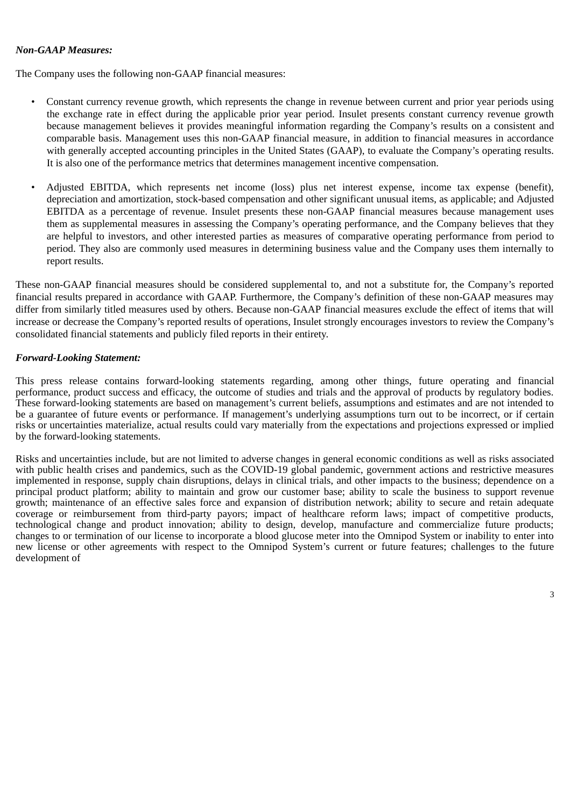#### *Non-GAAP Measures:*

The Company uses the following non-GAAP financial measures:

- Constant currency revenue growth, which represents the change in revenue between current and prior year periods using the exchange rate in effect during the applicable prior year period. Insulet presents constant currency revenue growth because management believes it provides meaningful information regarding the Company's results on a consistent and comparable basis. Management uses this non-GAAP financial measure, in addition to financial measures in accordance with generally accepted accounting principles in the United States (GAAP), to evaluate the Company's operating results. It is also one of the performance metrics that determines management incentive compensation.
- Adjusted EBITDA, which represents net income (loss) plus net interest expense, income tax expense (benefit), depreciation and amortization, stock-based compensation and other significant unusual items, as applicable; and Adjusted EBITDA as a percentage of revenue. Insulet presents these non-GAAP financial measures because management uses them as supplemental measures in assessing the Company's operating performance, and the Company believes that they are helpful to investors, and other interested parties as measures of comparative operating performance from period to period. They also are commonly used measures in determining business value and the Company uses them internally to report results.

These non-GAAP financial measures should be considered supplemental to, and not a substitute for, the Company's reported financial results prepared in accordance with GAAP. Furthermore, the Company's definition of these non-GAAP measures may differ from similarly titled measures used by others. Because non-GAAP financial measures exclude the effect of items that will increase or decrease the Company's reported results of operations, Insulet strongly encourages investors to review the Company's consolidated financial statements and publicly filed reports in their entirety.

# *Forward-Looking Statement:*

This press release contains forward-looking statements regarding, among other things, future operating and financial performance, product success and efficacy, the outcome of studies and trials and the approval of products by regulatory bodies. These forward-looking statements are based on management's current beliefs, assumptions and estimates and are not intended to be a guarantee of future events or performance. If management's underlying assumptions turn out to be incorrect, or if certain risks or uncertainties materialize, actual results could vary materially from the expectations and projections expressed or implied by the forward-looking statements.

Risks and uncertainties include, but are not limited to adverse changes in general economic conditions as well as risks associated with public health crises and pandemics, such as the COVID-19 global pandemic, government actions and restrictive measures implemented in response, supply chain disruptions, delays in clinical trials, and other impacts to the business; dependence on a principal product platform; ability to maintain and grow our customer base; ability to scale the business to support revenue growth; maintenance of an effective sales force and expansion of distribution network; ability to secure and retain adequate coverage or reimbursement from third-party payors; impact of healthcare reform laws; impact of competitive products, technological change and product innovation; ability to design, develop, manufacture and commercialize future products; changes to or termination of our license to incorporate a blood glucose meter into the Omnipod System or inability to enter into new license or other agreements with respect to the Omnipod System's current or future features; challenges to the future development of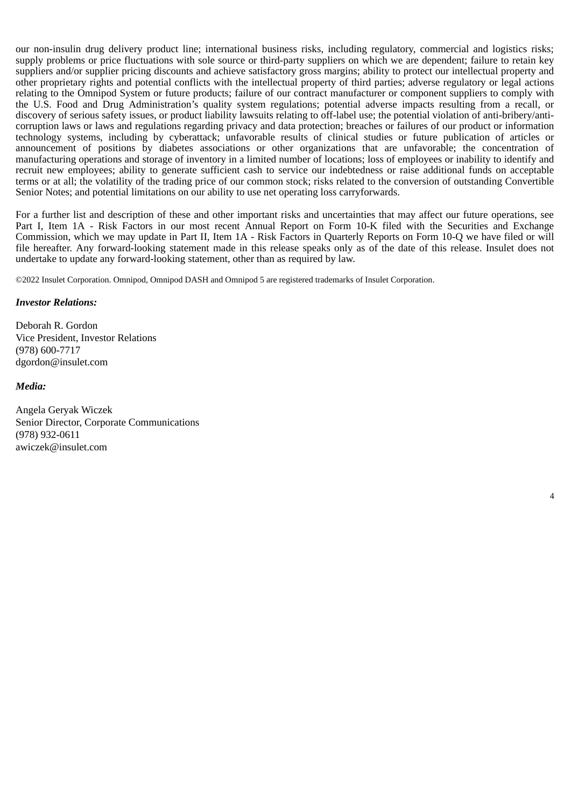our non-insulin drug delivery product line; international business risks, including regulatory, commercial and logistics risks; supply problems or price fluctuations with sole source or third-party suppliers on which we are dependent; failure to retain key suppliers and/or supplier pricing discounts and achieve satisfactory gross margins; ability to protect our intellectual property and other proprietary rights and potential conflicts with the intellectual property of third parties; adverse regulatory or legal actions relating to the Omnipod System or future products; failure of our contract manufacturer or component suppliers to comply with the U.S. Food and Drug Administration's quality system regulations; potential adverse impacts resulting from a recall, or discovery of serious safety issues, or product liability lawsuits relating to off-label use; the potential violation of anti-bribery/anticorruption laws or laws and regulations regarding privacy and data protection; breaches or failures of our product or information technology systems, including by cyberattack; unfavorable results of clinical studies or future publication of articles or announcement of positions by diabetes associations or other organizations that are unfavorable; the concentration of manufacturing operations and storage of inventory in a limited number of locations; loss of employees or inability to identify and recruit new employees; ability to generate sufficient cash to service our indebtedness or raise additional funds on acceptable terms or at all; the volatility of the trading price of our common stock; risks related to the conversion of outstanding Convertible Senior Notes; and potential limitations on our ability to use net operating loss carryforwards.

For a further list and description of these and other important risks and uncertainties that may affect our future operations, see Part I, Item 1A - Risk Factors in our most recent Annual Report on Form 10-K filed with the Securities and Exchange Commission, which we may update in Part II, Item 1A - Risk Factors in Quarterly Reports on Form 10-Q we have filed or will file hereafter. Any forward-looking statement made in this release speaks only as of the date of this release. Insulet does not undertake to update any forward-looking statement, other than as required by law.

©2022 Insulet Corporation. Omnipod, Omnipod DASH and Omnipod 5 are registered trademarks of Insulet Corporation.

#### *Investor Relations:*

Deborah R. Gordon Vice President, Investor Relations (978) 600-7717 dgordon@insulet.com

#### *Media:*

Angela Geryak Wiczek Senior Director, Corporate Communications (978) 932-0611 awiczek@insulet.com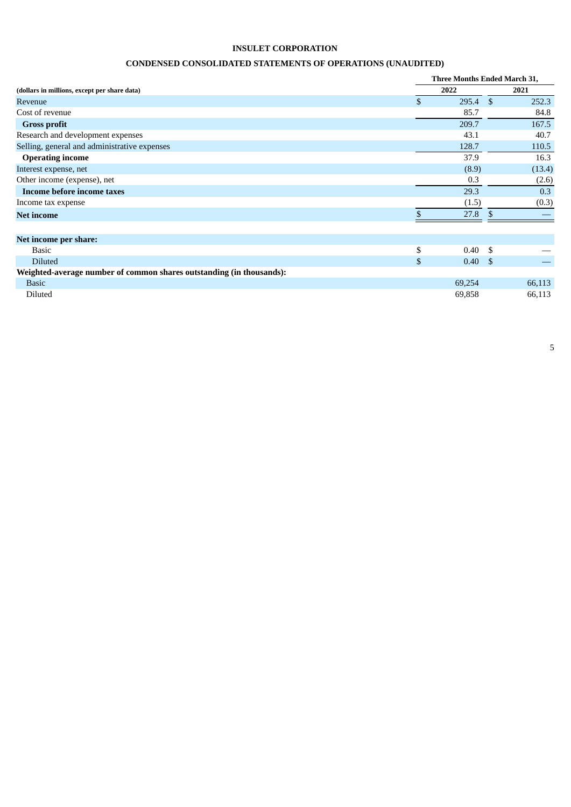# **CONDENSED CONSOLIDATED STATEMENTS OF OPERATIONS (UNAUDITED)**

|                                                                      |                | Three Months Ended March 31, |                |        |  |  |
|----------------------------------------------------------------------|----------------|------------------------------|----------------|--------|--|--|
| (dollars in millions, except per share data)                         |                | 2022                         |                | 2021   |  |  |
| Revenue                                                              | \$             | 295.4                        | <sup>\$</sup>  | 252.3  |  |  |
| Cost of revenue                                                      |                | 85.7                         |                | 84.8   |  |  |
| <b>Gross profit</b>                                                  |                | 209.7                        |                | 167.5  |  |  |
| Research and development expenses                                    |                | 43.1                         |                | 40.7   |  |  |
| Selling, general and administrative expenses                         |                | 128.7                        |                | 110.5  |  |  |
| <b>Operating income</b>                                              |                | 37.9                         |                | 16.3   |  |  |
| Interest expense, net                                                |                | (8.9)                        |                | (13.4) |  |  |
| Other income (expense), net                                          |                | 0.3                          |                | (2.6)  |  |  |
| Income before income taxes                                           |                | 29.3                         |                | 0.3    |  |  |
| Income tax expense                                                   |                | (1.5)                        |                | (0.3)  |  |  |
| <b>Net income</b>                                                    | \$             | 27.8                         | $\mathfrak{S}$ |        |  |  |
| Net income per share:                                                |                |                              |                |        |  |  |
| <b>Basic</b>                                                         | \$             | $0.40 \quad$ \$              |                |        |  |  |
| <b>Diluted</b>                                                       | $\mathfrak{s}$ | 0.40                         | - \$           |        |  |  |
| Weighted-average number of common shares outstanding (in thousands): |                |                              |                |        |  |  |
| <b>Basic</b>                                                         |                | 69,254                       |                | 66,113 |  |  |
| <b>Diluted</b>                                                       |                | 69,858                       |                | 66,113 |  |  |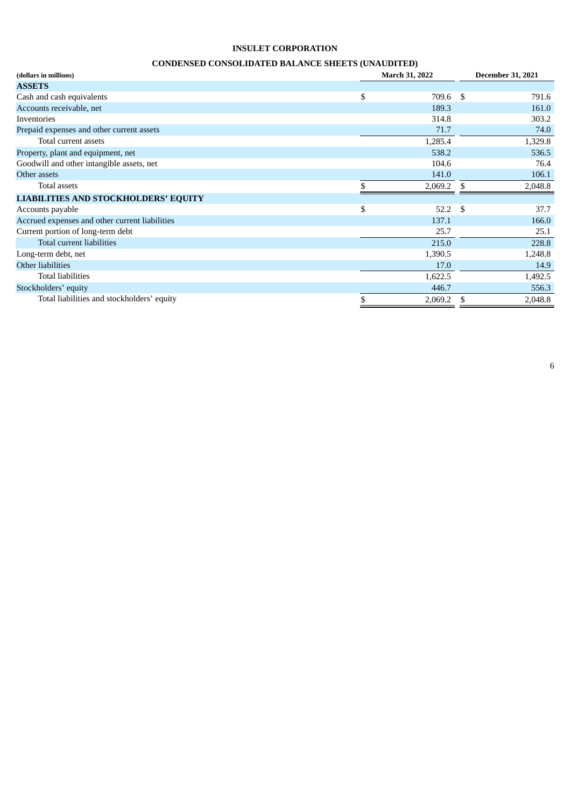# **CONDENSED CONSOLIDATED BALANCE SHEETS (UNAUDITED)**

| (dollars in millions)                          | <b>March 31, 2022</b> |          | <b>December 31, 2021</b> |  |
|------------------------------------------------|-----------------------|----------|--------------------------|--|
| <b>ASSETS</b>                                  |                       |          |                          |  |
| Cash and cash equivalents                      | \$<br>709.6           | <b>S</b> | 791.6                    |  |
| Accounts receivable, net                       | 189.3                 |          | 161.0                    |  |
| Inventories                                    | 314.8                 |          | 303.2                    |  |
| Prepaid expenses and other current assets      | 71.7                  |          | 74.0                     |  |
| Total current assets                           | 1,285.4               |          | 1,329.8                  |  |
| Property, plant and equipment, net             | 538.2                 |          | 536.5                    |  |
| Goodwill and other intangible assets, net      | 104.6                 |          | 76.4                     |  |
| Other assets                                   | 141.0                 |          | 106.1                    |  |
| Total assets                                   | 2,069.2               |          | 2,048.8                  |  |
| <b>LIABILITIES AND STOCKHOLDERS' EQUITY</b>    |                       |          |                          |  |
| Accounts payable                               | \$<br>$52.2$ \$       |          | 37.7                     |  |
| Accrued expenses and other current liabilities | 137.1                 |          | 166.0                    |  |
| Current portion of long-term debt              | 25.7                  |          | 25.1                     |  |
| Total current liabilities                      | 215.0                 |          | 228.8                    |  |
| Long-term debt, net                            | 1,390.5               |          | 1,248.8                  |  |
| Other liabilities                              | 17.0                  |          | 14.9                     |  |
| <b>Total liabilities</b>                       | 1,622.5               |          | 1,492.5                  |  |
| Stockholders' equity                           | 446.7                 |          | 556.3                    |  |
| Total liabilities and stockholders' equity     | \$<br>2,069.2         | \$       | 2,048.8                  |  |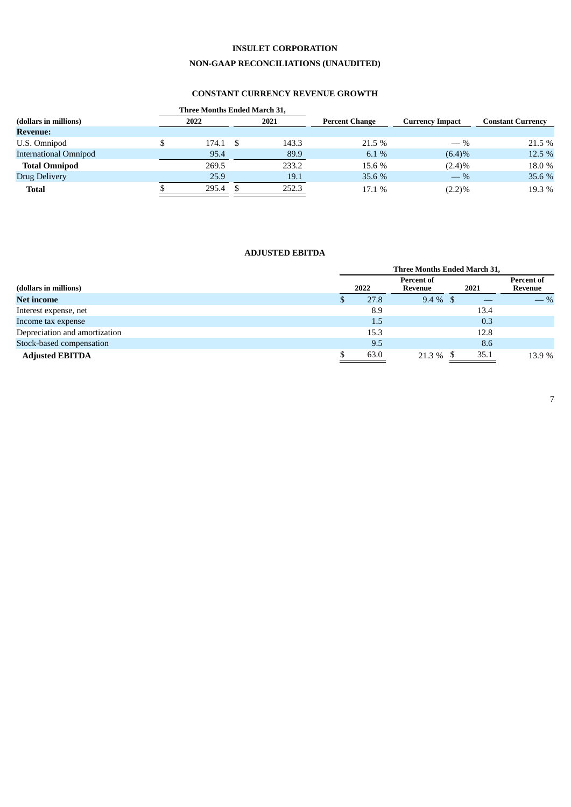#### **NON-GAAP RECONCILIATIONS (UNAUDITED)**

#### **CONSTANT CURRENCY REVENUE GROWTH**

| 2022  | 2021     | <b>Percent Change</b>        | <b>Currency Impact</b> | <b>Constant Currency</b> |
|-------|----------|------------------------------|------------------------|--------------------------|
|       |          |                              |                        |                          |
|       | 143.3    | 21.5 %                       | $-$ %                  | 21.5 %                   |
| 95.4  | 89.9     | 6.1%                         | (6.4)%                 | 12.5 %                   |
| 269.5 | 233.2    | 15.6 %                       | $(2.4)\%$              | 18.0 %                   |
| 25.9  | 19.1     | 35.6 %                       | $-$ %                  | 35.6 %                   |
| 295.4 | 252.3    | 17.1 %                       | $(2.2)\%$              | 19.3 %                   |
|       | 174.1 \$ | Three Months Ended March 31, |                        |                          |

#### **ADJUSTED EBITDA**

|                               | Three Months Ended March 31, |      |                       |      |                       |
|-------------------------------|------------------------------|------|-----------------------|------|-----------------------|
| (dollars in millions)         |                              | 2022 | Percent of<br>Revenue | 2021 | Percent of<br>Revenue |
| <b>Net income</b>             |                              | 27.8 | $9.4\%$ \$            |      | $-$ %                 |
| Interest expense, net         |                              | 8.9  |                       | 13.4 |                       |
| Income tax expense            |                              | 1.5  |                       | 0.3  |                       |
| Depreciation and amortization |                              | 15.3 |                       | 12.8 |                       |
| Stock-based compensation      |                              | 9.5  |                       | 8.6  |                       |
| <b>Adjusted EBITDA</b>        |                              | 63.0 | $21.3\%$ \$           | 35.1 | 13.9 %                |